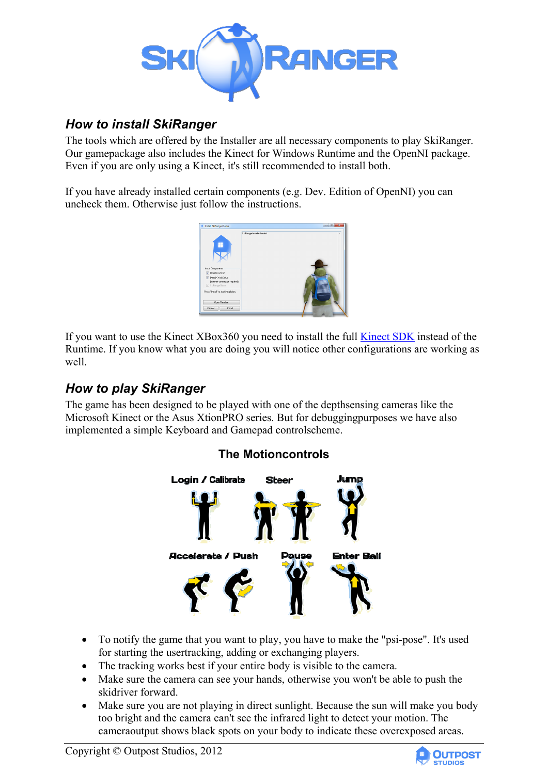

# *How to install SkiRanger*

The tools which are offered by the Installer are all necessary components to play SkiRanger. Our gamepackage also includes the Kinect for Windows Runtime and the OpenNI package. Even if you are only using a Kinect, it's still recommended to install both.

If you have already installed certain components (e.g. Dev. Edition of OpenNI) you can uncheck them. Otherwise just follow the instructions.



If you want to use the Kinect XBox360 you need to install the full Kinect SDK instead of the Runtime. If you know what you are doing you will notice other configurations are working as well.

# *How to play SkiRanger*

The game has been designed to be played with one of the depthsensing cameras like the Microsoft Kinect or the Asus XtionPRO series. But for debuggingpurposes we have also implemented a simple Keyboard and Gamepad controlscheme.

## **The Motioncontrols**



- To notify the game that you want to play, you have to make the "psi-pose". It's used for starting the usertracking, adding or exchanging players.
- The tracking works best if your entire body is visible to the camera.
- Make sure the camera can see your hands, otherwise you won't be able to push the skidriver forward.
- Make sure you are not playing in direct sunlight. Because the sun will make you body too bright and the camera can't see the infrared light to detect your motion. The cameraoutput shows black spots on your body to indicate these overexposed areas.